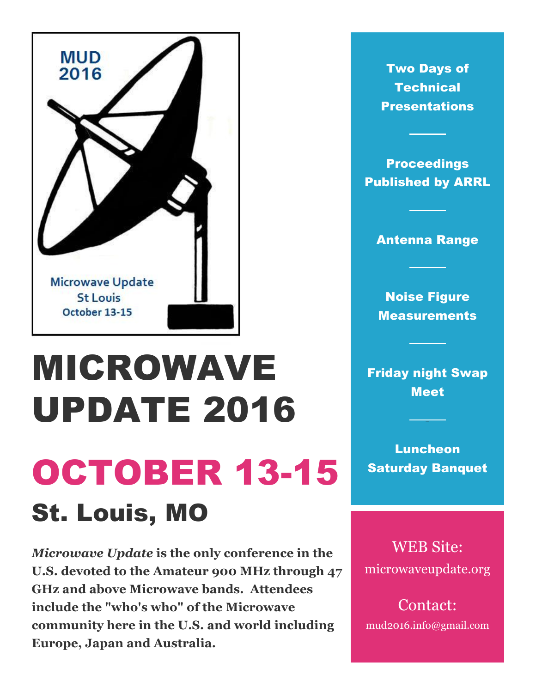

# MICROWAVE UPDATE 2016 OCTOBER 13-15 St. Louis, MO

*Microwave Update* **is the only conference in the U.S. devoted to the Amateur 900 MHz through 47 GHz and above Microwave bands. Attendees include the "who's who" of the Microwave community here in the U.S. and world including Europe, Japan and Australia.**

Two Days of **Technical Presentations** 

**Proceedings** Published by ARRL

#### Antenna Range

Noise Figure **Measurements** 

Friday night Swap **Meet** 

Luncheon Saturday Banquet

WEB Site: microwaveupdate.org

Contact: mud2016.info@gmail.com